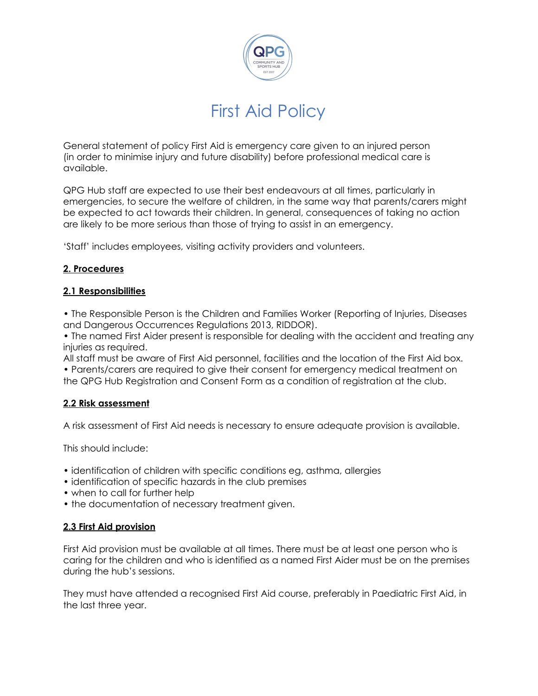

# First Aid Policy

General statement of policy First Aid is emergency care given to an injured person (in order to minimise injury and future disability) before professional medical care is available.

QPG Hub staff are expected to use their best endeavours at all times, particularly in emergencies, to secure the welfare of children, in the same way that parents/carers might be expected to act towards their children. In general, consequences of taking no action are likely to be more serious than those of trying to assist in an emergency.

'Staff' includes employees, visiting activity providers and volunteers.

#### **2. Procedures**

#### **2.1 Responsibilities**

• The Responsible Person is the Children and Families Worker (Reporting of Injuries, Diseases and Dangerous Occurrences Regulations 2013, RIDDOR).

• The named First Aider present is responsible for dealing with the accident and treating any injuries as required.

All staff must be aware of First Aid personnel, facilities and the location of the First Aid box. • Parents/carers are required to give their consent for emergency medical treatment on the QPG Hub Registration and Consent Form as a condition of registration at the club.

#### **2.2 Risk assessment**

A risk assessment of First Aid needs is necessary to ensure adequate provision is available.

This should include:

- identification of children with specific conditions eg, asthma, allergies
- identification of specific hazards in the club premises
- when to call for further help
- the documentation of necessary treatment given.

#### **2.3 First Aid provision**

First Aid provision must be available at all times. There must be at least one person who is caring for the children and who is identified as a named First Aider must be on the premises during the hub's sessions.

They must have attended a recognised First Aid course, preferably in Paediatric First Aid, in the last three year.